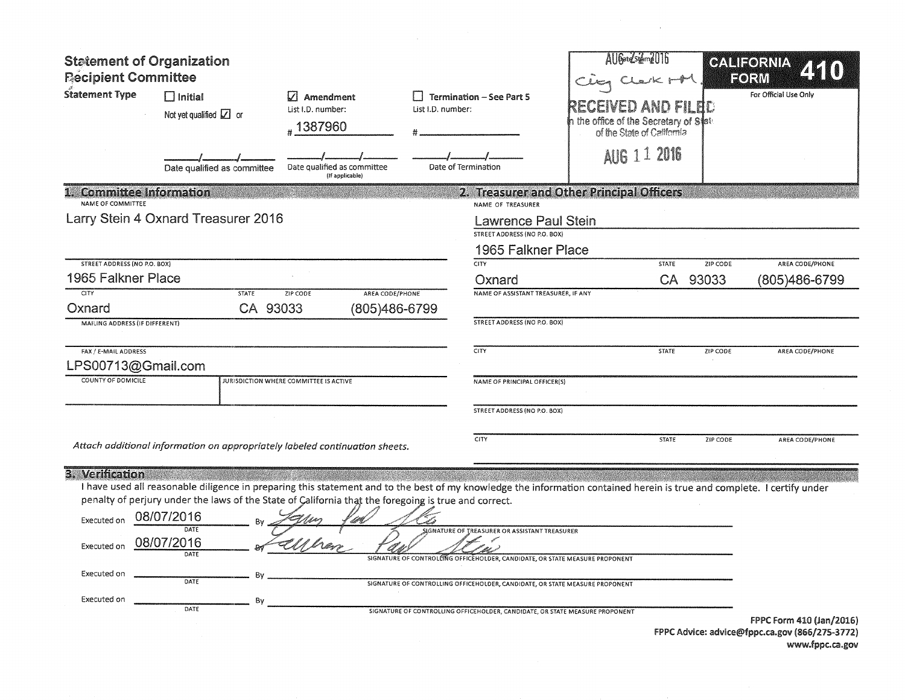| <b>Statement of Organization</b><br><b>Recipient Committee</b><br><b>Statement Type</b> | $\Box$ Initial<br>Not yet qualified $\boxed{\angle}$ or<br>Date qualified as committee | M<br>Amendment<br>List I.D. number:<br>#1387960<br>Date qualified as committee<br>(If applicable)                                                                                                                                                                               | List I.D. number: | <b>Termination - See Part 5</b><br>Date of Termination                                                                                                                                                                                                                                               | AUGardsidmell16<br>n the office of the Secretary of S $\sharp$ ats<br>of the State of California<br><b>AUG 1 1 2016</b> | CLEVK MM<br><b>AND FILBD</b> |          | GALIEORNIA<br>EORM<br>For Official Use Only |
|-----------------------------------------------------------------------------------------|----------------------------------------------------------------------------------------|---------------------------------------------------------------------------------------------------------------------------------------------------------------------------------------------------------------------------------------------------------------------------------|-------------------|------------------------------------------------------------------------------------------------------------------------------------------------------------------------------------------------------------------------------------------------------------------------------------------------------|-------------------------------------------------------------------------------------------------------------------------|------------------------------|----------|---------------------------------------------|
| <b>Committee Information</b>                                                            |                                                                                        |                                                                                                                                                                                                                                                                                 |                   |                                                                                                                                                                                                                                                                                                      | 2. Treasurer and Other Principal Officers                                                                               |                              |          |                                             |
| NAME OF COMMITTEE                                                                       |                                                                                        |                                                                                                                                                                                                                                                                                 |                   | NAME OF TREASURER                                                                                                                                                                                                                                                                                    |                                                                                                                         |                              |          |                                             |
|                                                                                         | Larry Stein 4 Oxnard Treasurer 2016                                                    |                                                                                                                                                                                                                                                                                 |                   | <b>Lawrence Paul Stein</b><br>STREET ADDRESS (NO P.O. BOX)                                                                                                                                                                                                                                           |                                                                                                                         |                              |          |                                             |
|                                                                                         |                                                                                        |                                                                                                                                                                                                                                                                                 |                   | 1965 Falkner Place                                                                                                                                                                                                                                                                                   |                                                                                                                         |                              |          |                                             |
| STREET ADDRESS (NO P.O. BOX)                                                            |                                                                                        |                                                                                                                                                                                                                                                                                 |                   | $\overline{\text{CITY}}$                                                                                                                                                                                                                                                                             |                                                                                                                         | STATE                        | ZIP CODE | AREA CODE/PHONE                             |
| 1965 Falkner Place                                                                      |                                                                                        |                                                                                                                                                                                                                                                                                 |                   | Oxnard                                                                                                                                                                                                                                                                                               |                                                                                                                         | <b>CA</b>                    | 93033    | (805)486-6799                               |
| <b>CITY</b>                                                                             | <b>STATE</b>                                                                           | AREA CODE/PHONE<br>ZIP CODE                                                                                                                                                                                                                                                     |                   | NAME OF ASSISTANT TREASURER, IF ANY                                                                                                                                                                                                                                                                  |                                                                                                                         |                              |          |                                             |
| Oxnard<br>MAILING ADDRESS (IF DIFFERENT)                                                | CA 93033                                                                               | (805)486-6799                                                                                                                                                                                                                                                                   |                   | <b>STREET ADDRESS (NO P.O. BOX)</b>                                                                                                                                                                                                                                                                  |                                                                                                                         |                              |          |                                             |
|                                                                                         |                                                                                        |                                                                                                                                                                                                                                                                                 |                   |                                                                                                                                                                                                                                                                                                      |                                                                                                                         |                              |          |                                             |
| FAX / E-MAIL ADDRESS                                                                    |                                                                                        |                                                                                                                                                                                                                                                                                 |                   | CITY                                                                                                                                                                                                                                                                                                 |                                                                                                                         | <b>STATE</b>                 | ZIP CODE | AREA CODE/PHONE                             |
| LPS00713@Gmail.com                                                                      |                                                                                        |                                                                                                                                                                                                                                                                                 |                   |                                                                                                                                                                                                                                                                                                      |                                                                                                                         |                              |          |                                             |
| <b>COUNTY OF DOMICILE</b>                                                               |                                                                                        | JURISDICTION WHERE COMMITTEE IS ACTIVE                                                                                                                                                                                                                                          |                   | NAME OF PRINCIPAL OFFICER(S)                                                                                                                                                                                                                                                                         |                                                                                                                         |                              |          |                                             |
|                                                                                         |                                                                                        |                                                                                                                                                                                                                                                                                 |                   | STREET ADDRESS (NO P.O. BOX)                                                                                                                                                                                                                                                                         |                                                                                                                         |                              |          |                                             |
|                                                                                         |                                                                                        | Attach additional information on appropriately labeled continuation sheets.                                                                                                                                                                                                     |                   | CITY                                                                                                                                                                                                                                                                                                 |                                                                                                                         | STATE                        | ZIP CODE | AREA CODE/PHONE                             |
| 3. Verification<br>Executed on<br>Executed on<br>Executed on<br>Executed on             | 08/07/2016<br>DATE<br>08/07/2016<br>DATE<br>B١<br>DATE<br>By<br>DATE                   | I have used all reasonable diligence in preparing this statement and to the best of my knowledge the information contained herein is true and complete. I certify under<br>penalty of perjury under the laws of the State of Çalifornia that the foregoing is true and correct. |                   | <b>SIGNATURE OF TREASURER OR ASSISTANT TREASURER</b><br>SIGNATURE OF CONTROLLING OFFICEHOLDER, CANDIDATE, OR STATE MEASURE PROPONENT<br>SIGNATURE OF CONTROLLING OFFICEHOLDER, CANDIDATE, OR STATE MEASURE PROPONENT<br>SIGNATURE OF CONTROLLING OFFICEHOLDER, CANDIDATE, OR STATE MEASURE PROPONENT |                                                                                                                         |                              |          | FPPC Form 410 (Jan/2016)                    |
|                                                                                         |                                                                                        |                                                                                                                                                                                                                                                                                 |                   |                                                                                                                                                                                                                                                                                                      |                                                                                                                         |                              |          |                                             |

f PPC Advice: advice@fppc.ca.gov (866/275-3772) www.fppc.ca.gov

 $\sim 10$